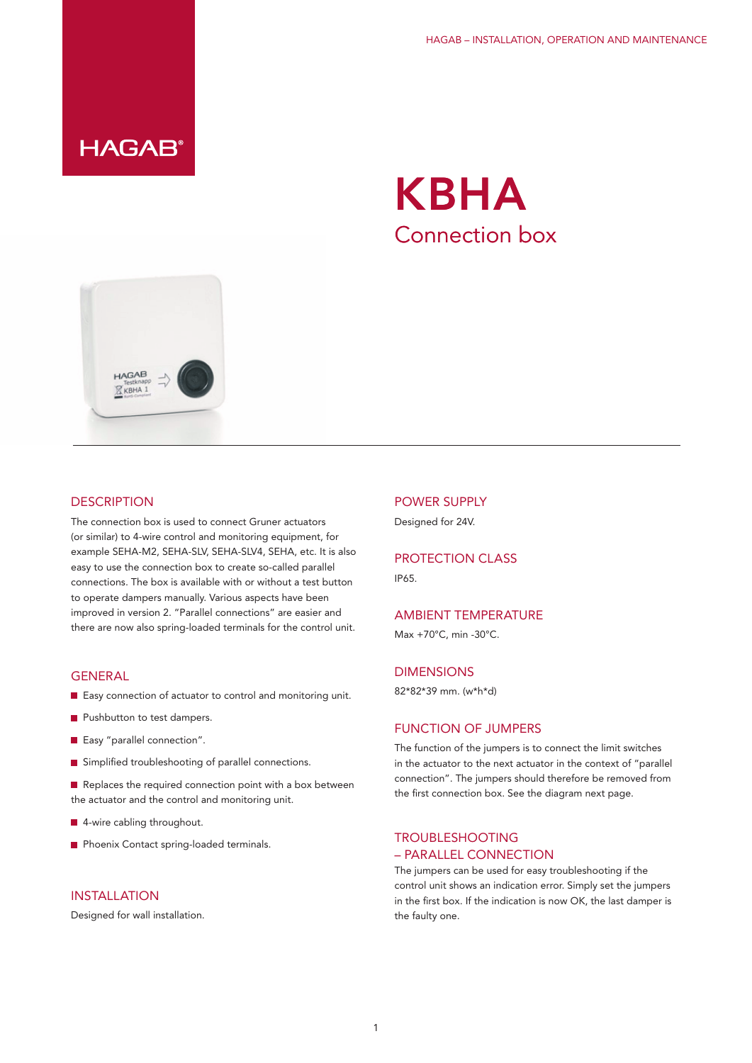**HAGAB®** 





#### **DESCRIPTION**

The connection box is used to connect Gruner actuators (or similar) to 4-wire control and monitoring equipment, for example SEHA-M2, SEHA-SLV, SEHA-SLV4, SEHA, etc. It is also easy to use the connection box to create so-called parallel connections. The box is available with or without a test button to operate dampers manually. Various aspects have been improved in version 2. "Parallel connections" are easier and there are now also spring-loaded terminals for the control unit.

#### GENERAL

- **E** Easy connection of actuator to control and monitoring unit.
- **Pushbutton to test dampers.**
- Easy "parallel connection".
- Simplified troubleshooting of parallel connections.

 $\blacksquare$  Replaces the required connection point with a box between the actuator and the control and monitoring unit.

- 4-wire cabling throughout.
- **Phoenix Contact spring-loaded terminals.**

## INSTALLATION

Designed for wall installation.

#### POWER SUPPLY

Designed for 24V.

# PROTECTION CLASS

IP65.

## AMBIENT TEMPERATURE

Max +70°C, min -30°C.

### DIMENSIONS

82\*82\*39 mm. (w\*h\*d)

#### FUNCTION OF JUMPERS

The function of the jumpers is to connect the limit switches in the actuator to the next actuator in the context of "parallel connection". The jumpers should therefore be removed from the first connection box. See the diagram next page.

# TROUBLESHOOTING – PARALLEL CONNECTION

The jumpers can be used for easy troubleshooting if the control unit shows an indication error. Simply set the jumpers in the first box. If the indication is now OK, the last damper is the faulty one.